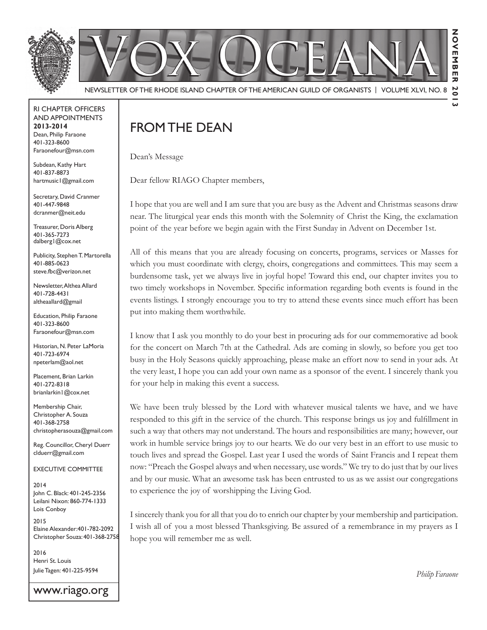

RI Chapter Officers and Appointments **2013-2014** Dean, Philip Faraone 401-323-8600 Faraonefour@msn.com

Subdean, Kathy Hart 401-837-8873 hartmusic1@gmail.com

Secretary, David Cranmer 401-447-9848 dcranmer@neit.edu

Treasurer, Doris Alberg 401-365-7273 dalberg1@cox.net

Publicity, Stephen T. Martorella 401-885-0623 steve.fbc@verizon.net

Newsletter, Althea Allard 401-728-4431 altheaallard@gmail

Education, Philip Faraone 401-323-8600 Faraonefour@msn.com

Historian, N. Peter LaMoria 401-723-6974 npeterlam@aol.net

Placement, Brian Larkin 401-272-8318 brianlarkin1@cox.net

Membership Chair, Christopher A. Souza 401-368-2758 christopherasouza@gmail.com

Reg. Councillor, Cheryl Duerr clduerr@gmail.com

Executive Committee

2014 John C. Black: 401-245-2356 Leilani Nixon: 860-774-1333 Lois Conboy

2015 Elaine Alexander:401-782-2092 Christopher Souza: 401-368-2758

2016 Henri St. Louis Julie Tagen: 401-225-9594

www.riago.org

# FROM THE DEAN

Dean's Message

Dear fellow RIAGO Chapter members,

I hope that you are well and I am sure that you are busy as the Advent and Christmas seasons draw near. The liturgical year ends this month with the Solemnity of Christ the King, the exclamation point of the year before we begin again with the First Sunday in Advent on December 1st.

All of this means that you are already focusing on concerts, programs, services or Masses for which you must coordinate with clergy, choirs, congregations and committees. This may seem a burdensome task, yet we always live in joyful hope! Toward this end, our chapter invites you to two timely workshops in November. Specific information regarding both events is found in the events listings. I strongly encourage you to try to attend these events since much effort has been put into making them worthwhile.

I know that I ask you monthly to do your best in procuring ads for our commemorative ad book for the concert on March 7th at the Cathedral. Ads are coming in slowly, so before you get too busy in the Holy Seasons quickly approaching, please make an effort now to send in your ads. At the very least, I hope you can add your own name as a sponsor of the event. I sincerely thank you for your help in making this event a success.

We have been truly blessed by the Lord with whatever musical talents we have, and we have responded to this gift in the service of the church. This response brings us joy and fulfillment in such a way that others may not understand. The hours and responsibilities are many; however, our work in humble service brings joy to our hearts. We do our very best in an effort to use music to touch lives and spread the Gospel. Last year I used the words of Saint Francis and I repeat them now: "Preach the Gospel always and when necessary, use words." We try to do just that by our lives and by our music. What an awesome task has been entrusted to us as we assist our congregations to experience the joy of worshipping the Living God.

I sincerely thank you for all that you do to enrich our chapter by your membership and participation. I wish all of you a most blessed Thanksgiving. Be assured of a remembrance in my prayers as I hope you will remember me as well.

*Philip Faraone*

 $\overline{a}$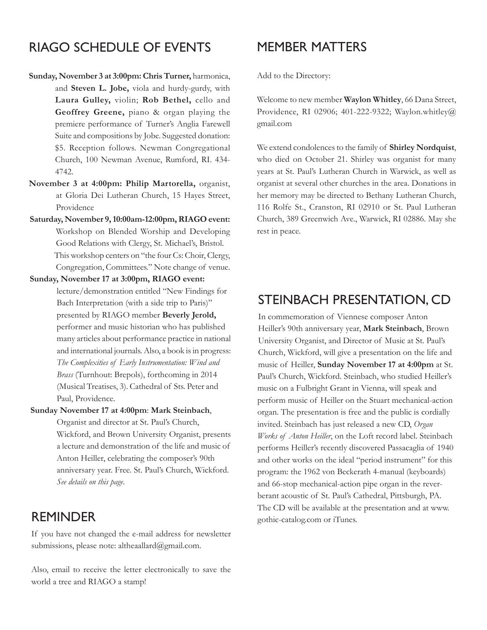## RIAGO Schedule of Events

- **Sunday, November 3 at 3:00pm: Chris Turner,** harmonica, and **Steven L. Jobe,** viola and hurdy-gurdy, with **Laura Gulley,** violin; **Rob Bethel,** cello and **Geoffrey Greene,** piano & organ playing the premiere performance of Turner's Anglia Farewell Suite and compositions by Jobe. Suggested donation: \$5. Reception follows. Newman Congregational Church, 100 Newman Avenue, Rumford, RI. 434- 4742.
- **November 3 at 4:00pm: Philip Martorella,** organist, at Gloria Dei Lutheran Church, 15 Hayes Street, Providence
- **Saturday, November 9, 10:00am-12:00pm, RIAGO event:**  Workshop on Blended Worship and Developing Good Relations with Clergy, St. Michael's, Bristol. This workshop centers on "the four Cs: Choir, Clergy, Congregation, Committees." Note change of venue.
- **Sunday, November 17 at 3:00pm, RIAGO event:** lecture/demonstration entitled "New Findings for Bach Interpretation (with a side trip to Paris)" presented by RIAGO member **Beverly Jerold,** performer and music historian who has published many articles about performance practice in national and international journals. Also, a book is in progress: *The Complexities of Early Instrumentation: Wind and Brass* (Turnhout: Brepols), forthcoming in 2014 (Musical Treatises, 3). Cathedral of Sts. Peter and Paul, Providence.

#### **Sunday November 17 at 4:00pm**: **Mark Steinbach**,

Organist and director at St. Paul's Church, Wickford, and Brown University Organist, presents a lecture and demonstration of the life and music of Anton Heiller, celebrating the composer's 90th anniversary year. Free. St. Paul's Church, Wickford. *See details on this page*.

### **REMINDER**

If you have not changed the e-mail address for newsletter submissions, please note: altheaallard@gmail.com.

Also, email to receive the letter electronically to save the world a tree and RIAGO a stamp!

### MEMBER MATTERS

Add to the Directory:

Welcome to new member **Waylon Whitley**, 66 Dana Street, Providence, RI 02906; 401-222-9322; Waylon.whitley@ gmail.com

We extend condolences to the family of **Shirley Nordquist**, who died on October 21. Shirley was organist for many years at St. Paul's Lutheran Church in Warwick, as well as organist at several other churches in the area. Donations in her memory may be directed to Bethany Lutheran Church, 116 Rolfe St., Cranston, RI 02910 or St. Paul Lutheran Church, 389 Greenwich Ave., Warwick, RI 02886. May she rest in peace.

### Steinbach Presentation, CD

In commemoration of Viennese composer Anton Heiller's 90th anniversary year, **Mark Steinbach**, Brown University Organist, and Director of Music at St. Paul's Church, Wickford, will give a presentation on the life and music of Heiller, **Sunday November 17 at 4:00pm** at St. Paul's Church, Wickford. Steinbach, who studied Heiller's music on a Fulbright Grant in Vienna, will speak and perform music of Heiller on the Stuart mechanical-action organ. The presentation is free and the public is cordially invited. Steinbach has just released a new CD, *Organ Works of Anton Heiller*, on the Loft record label. Steinbach performs Heiller's recently discovered Passacaglia of 1940 and other works on the ideal "period instrument" for this program: the 1962 von Beckerath 4-manual (keyboards) and 66-stop mechanical-action pipe organ in the reverberant acoustic of St. Paul's Cathedral, Pittsburgh, PA. The CD will be available at the presentation and at www. gothic-catalog.com or iTunes.